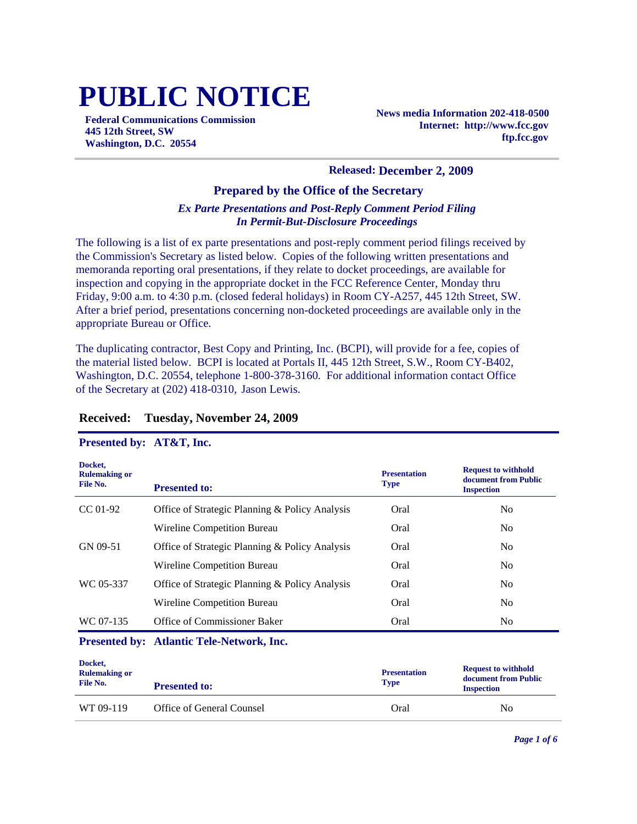# **PUBLIC NOTICE**

**Federal Communications Commission 445 12th Street, SW Washington, D.C. 20554**

**News media Information 202-418-0500 Internet: http://www.fcc.gov ftp.fcc.gov**

#### **Released: December 2, 2009**

#### **Prepared by the Office of the Secretary**

#### *Ex Parte Presentations and Post-Reply Comment Period Filing In Permit-But-Disclosure Proceedings*

The following is a list of ex parte presentations and post-reply comment period filings received by the Commission's Secretary as listed below. Copies of the following written presentations and memoranda reporting oral presentations, if they relate to docket proceedings, are available for inspection and copying in the appropriate docket in the FCC Reference Center, Monday thru Friday, 9:00 a.m. to 4:30 p.m. (closed federal holidays) in Room CY-A257, 445 12th Street, SW. After a brief period, presentations concerning non-docketed proceedings are available only in the appropriate Bureau or Office.

The duplicating contractor, Best Copy and Printing, Inc. (BCPI), will provide for a fee, copies of the material listed below. BCPI is located at Portals II, 445 12th Street, S.W., Room CY-B402, Washington, D.C. 20554, telephone 1-800-378-3160. For additional information contact Office of the Secretary at (202) 418-0310, Jason Lewis.

#### **Docket, Rulemaking or File No. Presentation Type Request to withhold document from Public Presented to: Inspection Inspection Inspection** CC 01-92 Office of Strategic Planning & Policy Analysis Oral No Wireline Competition Bureau Oral Oral No GN 09-51 Office of Strategic Planning & Policy Analysis Oral No Wireline Competition Bureau Oral Oral No WC 05-337 Office of Strategic Planning & Policy Analysis Oral No Wireline Competition Bureau Oral Oral No WC 07-135 Office of Commissioner Baker Conservation Cral No No

#### **Received: Tuesday, November 24, 2009**

#### **Presented by: AT&T, Inc.**

#### **Presented by: Atlantic Tele-Network, Inc.**

| Docket,<br><b>Rulemaking or</b><br>File No. | <b>Presented to:</b>      | <b>Presentation</b><br><b>Type</b> | <b>Request to withhold</b><br>document from Public<br><b>Inspection</b> |
|---------------------------------------------|---------------------------|------------------------------------|-------------------------------------------------------------------------|
| WT 09-119                                   | Office of General Counsel | Oral                               | No                                                                      |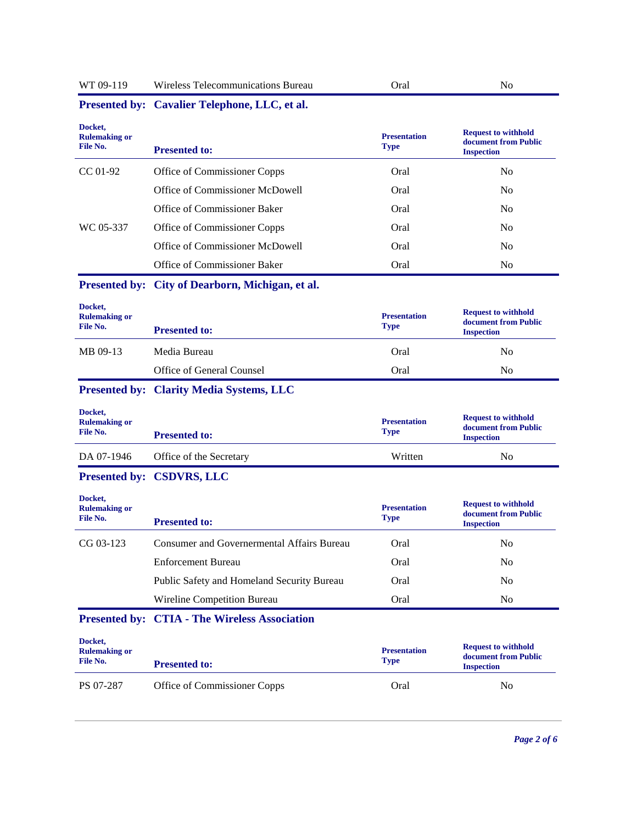| WT 09-119<br>Wireless Telecommunications Bureau | Oral |  |
|-------------------------------------------------|------|--|
|-------------------------------------------------|------|--|

| Docket,<br><b>Rulemaking or</b><br>File No. | <b>Presented to:</b>                                 | <b>Presentation</b><br><b>Type</b> | <b>Request to withhold</b><br>document from Public<br><b>Inspection</b> |
|---------------------------------------------|------------------------------------------------------|------------------------------------|-------------------------------------------------------------------------|
| CC 01-92                                    | Office of Commissioner Copps                         | Oral                               | N <sub>0</sub>                                                          |
|                                             | Office of Commissioner McDowell                      | Oral                               | N <sub>0</sub>                                                          |
|                                             | Office of Commissioner Baker                         | Oral                               | N <sub>0</sub>                                                          |
| WC 05-337                                   | Office of Commissioner Copps                         | Oral                               | N <sub>0</sub>                                                          |
|                                             | Office of Commissioner McDowell                      | Oral                               | N <sub>0</sub>                                                          |
|                                             | Office of Commissioner Baker                         | Oral                               | N <sub>o</sub>                                                          |
|                                             | Presented by: City of Dearborn, Michigan, et al.     |                                    |                                                                         |
| Docket,<br><b>Rulemaking or</b><br>File No. | <b>Presented to:</b>                                 | <b>Presentation</b><br><b>Type</b> | <b>Request to withhold</b><br>document from Public<br><b>Inspection</b> |
| MB 09-13                                    | Media Bureau                                         | Oral                               | N <sub>0</sub>                                                          |
|                                             | Office of General Counsel                            | Oral                               | N <sub>0</sub>                                                          |
|                                             | <b>Presented by: Clarity Media Systems, LLC</b>      |                                    |                                                                         |
| Docket,<br><b>Rulemaking or</b><br>File No. | <b>Presented to:</b>                                 | <b>Presentation</b><br><b>Type</b> | <b>Request to withhold</b><br>document from Public<br><b>Inspection</b> |
| DA 07-1946                                  | Office of the Secretary                              | Written                            | N <sub>o</sub>                                                          |
|                                             | Presented by: CSDVRS, LLC                            |                                    |                                                                         |
| Docket,<br><b>Rulemaking or</b><br>File No. | <b>Presented to:</b>                                 | <b>Presentation</b><br><b>Type</b> | <b>Request to withhold</b><br>document from Public<br><b>Inspection</b> |
| CG 03-123                                   | <b>Consumer and Governermental Affairs Bureau</b>    | Oral                               | N <sub>o</sub>                                                          |
|                                             | <b>Enforcement Bureau</b>                            | Oral                               | N <sub>0</sub>                                                          |
|                                             | Public Safety and Homeland Security Bureau           | Oral                               | No                                                                      |
|                                             | Wireline Competition Bureau                          | Oral                               | N <sub>o</sub>                                                          |
|                                             | <b>Presented by: CTIA - The Wireless Association</b> |                                    |                                                                         |
| Docket,<br><b>Rulemaking or</b><br>File No. | <b>Presented to:</b>                                 | <b>Presentation</b><br><b>Type</b> | <b>Request to withhold</b><br>document from Public<br><b>Inspection</b> |
|                                             |                                                      |                                    |                                                                         |

# **Presented by: Cavalier Telephone, LLC, et al.**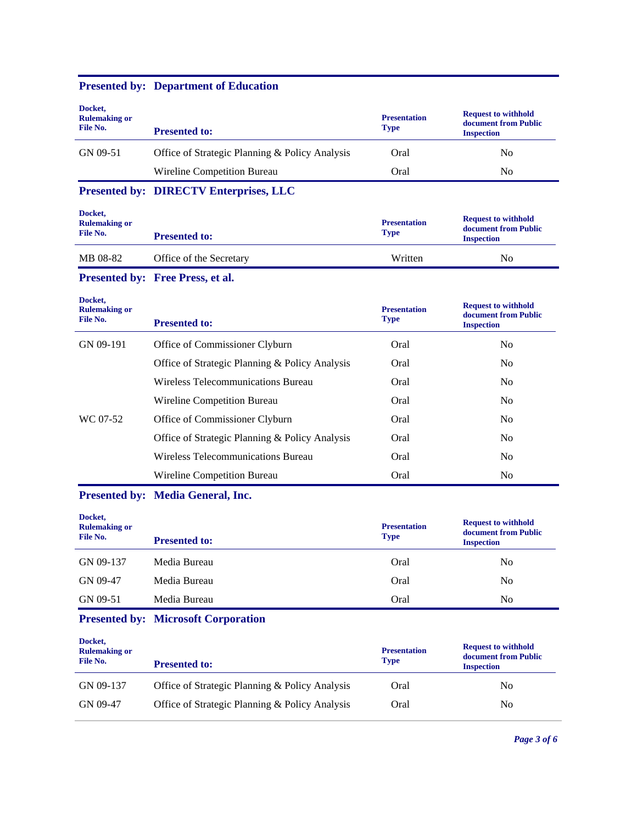| Docket,<br><b>Rulemaking or</b><br>File No. | <b>Presented to:</b>                           | <b>Presentation</b><br><b>Type</b> | <b>Request to withhold</b><br>document from Public<br><b>Inspection</b> |
|---------------------------------------------|------------------------------------------------|------------------------------------|-------------------------------------------------------------------------|
| GN 09-51                                    | Office of Strategic Planning & Policy Analysis | Oral                               | No                                                                      |
|                                             | Wireline Competition Bureau                    | Oral                               | No                                                                      |

## **Presented by: Department of Education**

## **Presented by: DIRECTV Enterprises, LLC**

| Docket,<br><b>Rulemaking or</b><br>File No. | <b>Presented to:</b>    | <b>Presentation</b><br><b>Type</b> | <b>Request to withhold</b><br>document from Public<br><b>Inspection</b> |
|---------------------------------------------|-------------------------|------------------------------------|-------------------------------------------------------------------------|
| MB 08-82                                    | Office of the Secretary | Written                            | No                                                                      |

## **Presented by: Free Press, et al.**

| Docket,<br><b>Rulemaking or</b><br>File No. | <b>Presented to:</b>                           | <b>Presentation</b><br><b>Type</b> | <b>Request to withhold</b><br>document from Public<br><b>Inspection</b> |
|---------------------------------------------|------------------------------------------------|------------------------------------|-------------------------------------------------------------------------|
| GN 09-191                                   | Office of Commissioner Clyburn                 | Oral                               | N <sub>0</sub>                                                          |
|                                             | Office of Strategic Planning & Policy Analysis | Oral                               | N <sub>0</sub>                                                          |
|                                             | Wireless Telecommunications Bureau             | Oral                               | N <sub>0</sub>                                                          |
|                                             | Wireline Competition Bureau                    | Oral                               | N <sub>0</sub>                                                          |
| WC 07-52                                    | Office of Commissioner Clyburn                 | Oral                               | N <sub>0</sub>                                                          |
|                                             | Office of Strategic Planning & Policy Analysis | Oral                               | N <sub>0</sub>                                                          |
|                                             | Wireless Telecommunications Bureau             | Oral                               | N <sub>o</sub>                                                          |
|                                             | Wireline Competition Bureau                    | Oral                               | N <sub>0</sub>                                                          |

## **Presented by: Media General, Inc.**

| Docket,<br><b>Rulemaking or</b><br>File No. | <b>Presented to:</b> | <b>Presentation</b><br><b>Type</b> | <b>Request to withhold</b><br>document from Public<br><b>Inspection</b> |
|---------------------------------------------|----------------------|------------------------------------|-------------------------------------------------------------------------|
| GN 09-137                                   | Media Bureau         | Oral                               | No                                                                      |
| GN 09-47                                    | Media Bureau         | Oral                               | N <sub>0</sub>                                                          |
| GN 09-51                                    | Media Bureau         | Oral                               | No                                                                      |

## **Presented by: Microsoft Corporation**

| Docket,<br><b>Rulemaking or</b><br>File No. | <b>Presented to:</b>                           | <b>Presentation</b><br><b>Type</b> | <b>Request to withhold</b><br>document from Public<br><b>Inspection</b> |
|---------------------------------------------|------------------------------------------------|------------------------------------|-------------------------------------------------------------------------|
| GN 09-137                                   | Office of Strategic Planning & Policy Analysis | Oral                               | No                                                                      |
| GN 09-47                                    | Office of Strategic Planning & Policy Analysis | Oral                               | No                                                                      |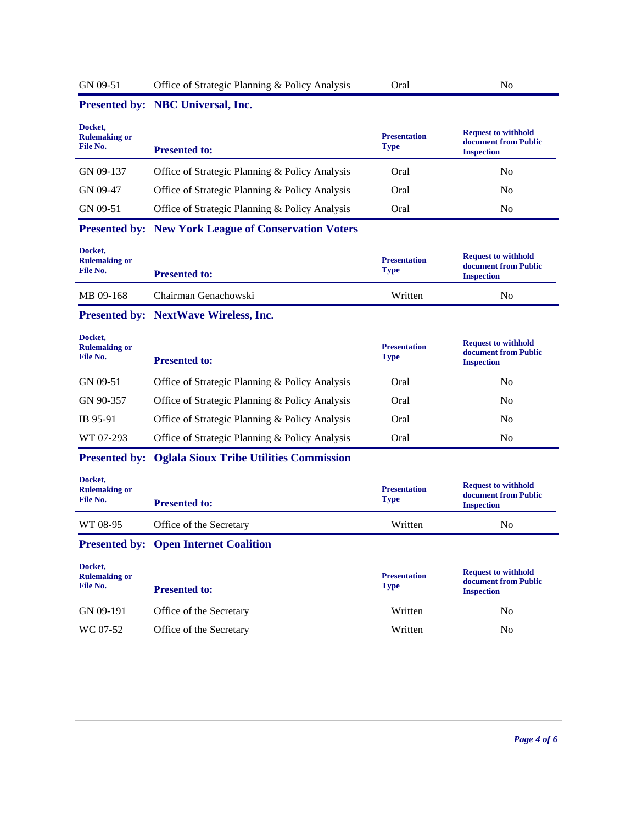| Docket,<br><b>Rulemaking or</b><br>File No.<br>GN 09-137<br>GN 09-47<br>GN 09-51 | Presented by: NBC Universal, Inc.<br><b>Presented to:</b><br>Office of Strategic Planning & Policy Analysis<br>Office of Strategic Planning & Policy Analysis | <b>Presentation</b><br><b>Type</b><br>Oral | <b>Request to withhold</b><br>document from Public<br><b>Inspection</b> |
|----------------------------------------------------------------------------------|---------------------------------------------------------------------------------------------------------------------------------------------------------------|--------------------------------------------|-------------------------------------------------------------------------|
|                                                                                  |                                                                                                                                                               |                                            |                                                                         |
|                                                                                  |                                                                                                                                                               |                                            |                                                                         |
|                                                                                  |                                                                                                                                                               |                                            | N <sub>0</sub>                                                          |
|                                                                                  |                                                                                                                                                               | Oral                                       | N <sub>0</sub>                                                          |
|                                                                                  | Office of Strategic Planning & Policy Analysis                                                                                                                | Oral                                       | N <sub>o</sub>                                                          |
|                                                                                  | <b>Presented by: New York League of Conservation Voters</b>                                                                                                   |                                            |                                                                         |
| Docket,<br><b>Rulemaking or</b><br>File No.                                      | <b>Presented to:</b>                                                                                                                                          | <b>Presentation</b><br><b>Type</b>         | <b>Request to withhold</b><br>document from Public<br><b>Inspection</b> |
| MB 09-168                                                                        | Chairman Genachowski                                                                                                                                          | Written                                    | N <sub>0</sub>                                                          |
|                                                                                  | Presented by: NextWave Wireless, Inc.                                                                                                                         |                                            |                                                                         |
| Docket,<br><b>Rulemaking or</b><br>File No.                                      | <b>Presented to:</b>                                                                                                                                          | <b>Presentation</b><br><b>Type</b>         | <b>Request to withhold</b><br>document from Public<br><b>Inspection</b> |
| GN 09-51                                                                         | Office of Strategic Planning & Policy Analysis                                                                                                                | Oral                                       | No                                                                      |
| GN 90-357                                                                        | Office of Strategic Planning & Policy Analysis                                                                                                                | Oral                                       | No                                                                      |
| IB 95-91                                                                         | Office of Strategic Planning & Policy Analysis                                                                                                                | Oral                                       | No                                                                      |
| WT 07-293                                                                        | Office of Strategic Planning & Policy Analysis                                                                                                                | Oral                                       | N <sub>o</sub>                                                          |
| <b>Presented by:</b>                                                             | <b>Oglala Sioux Tribe Utilities Commission</b>                                                                                                                |                                            |                                                                         |
| Docket,<br><b>Rulemaking or</b><br>File No.                                      | <b>Presented to:</b>                                                                                                                                          | <b>Presentation</b><br><b>Type</b>         | <b>Request to withhold</b><br>document from Public<br><b>Inspection</b> |
| WT 08-95                                                                         | Office of the Secretary                                                                                                                                       | Written                                    | N <sub>o</sub>                                                          |
|                                                                                  | <b>Presented by: Open Internet Coalition</b>                                                                                                                  |                                            |                                                                         |
| Docket,<br><b>Rulemaking or</b><br>File No.                                      | <b>Presented to:</b>                                                                                                                                          | <b>Presentation</b><br><b>Type</b>         | <b>Request to withhold</b><br>document from Public<br><b>Inspection</b> |
|                                                                                  |                                                                                                                                                               |                                            |                                                                         |
| GN 09-191                                                                        | Office of the Secretary                                                                                                                                       | Written                                    | N <sub>o</sub>                                                          |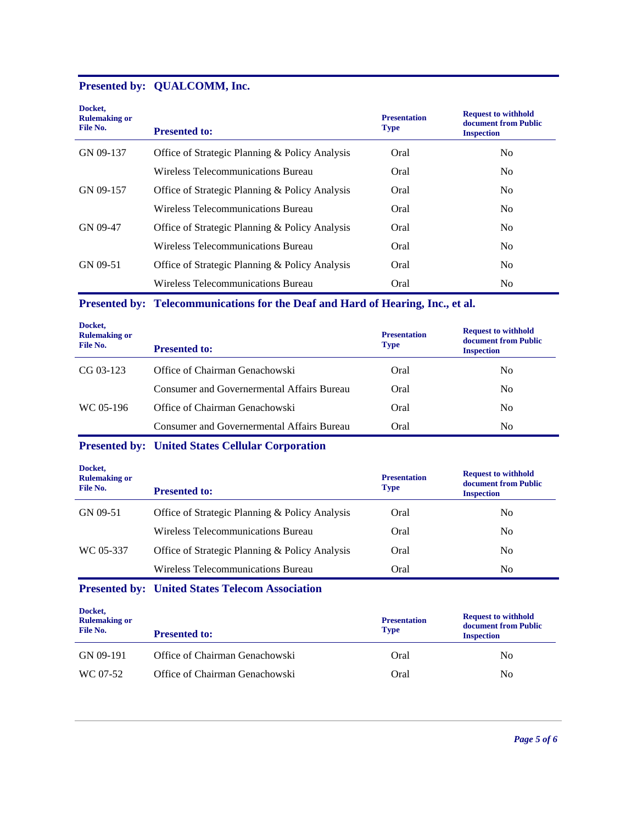## **Presented by: QUALCOMM, Inc.**

| Docket,<br><b>Rulemaking or</b><br>File No. | <b>Presented to:</b>                           | <b>Presentation</b><br><b>Type</b> | <b>Request to withhold</b><br>document from Public<br><b>Inspection</b> |
|---------------------------------------------|------------------------------------------------|------------------------------------|-------------------------------------------------------------------------|
| GN 09-137                                   | Office of Strategic Planning & Policy Analysis | Oral                               |                                                                         |
|                                             |                                                |                                    | No.                                                                     |
|                                             | Wireless Telecommunications Bureau             | Oral                               | No.                                                                     |
| GN 09-157                                   | Office of Strategic Planning & Policy Analysis | Oral                               | No.                                                                     |
|                                             | Wireless Telecommunications Bureau             | Oral                               | N <sub>0</sub>                                                          |
| GN 09-47                                    | Office of Strategic Planning & Policy Analysis | Oral                               | N <sub>0</sub>                                                          |
|                                             | Wireless Telecommunications Bureau             | Oral                               | N <sub>0</sub>                                                          |
| GN 09-51                                    | Office of Strategic Planning & Policy Analysis | Oral                               | N <sub>0</sub>                                                          |
|                                             | Wireless Telecommunications Bureau             | Oral                               | No.                                                                     |

#### **Presented by: Telecommunications for the Deaf and Hard of Hearing, Inc., et al.**

| Docket,<br><b>Rulemaking or</b><br>File No. | <b>Presented to:</b>                       | <b>Presentation</b><br><b>Type</b> | <b>Request to withhold</b><br>document from Public<br><b>Inspection</b> |
|---------------------------------------------|--------------------------------------------|------------------------------------|-------------------------------------------------------------------------|
| $CG 03-123$                                 | Office of Chairman Genachowski             | Oral                               | No                                                                      |
|                                             | Consumer and Governermental Affairs Bureau | Oral                               | No                                                                      |
| WC 05-196                                   | Office of Chairman Genachowski             | Oral                               | No                                                                      |
|                                             | Consumer and Governermental Affairs Bureau | Oral                               | No                                                                      |

## **Presented by: United States Cellular Corporation**

| Docket,<br><b>Rulemaking or</b><br>File No. | <b>Presented to:</b>                           | <b>Presentation</b><br><b>Type</b> | <b>Request to withhold</b><br>document from Public<br><b>Inspection</b> |
|---------------------------------------------|------------------------------------------------|------------------------------------|-------------------------------------------------------------------------|
| GN 09-51                                    | Office of Strategic Planning & Policy Analysis | Oral                               | N <sub>0</sub>                                                          |
|                                             | Wireless Telecommunications Bureau             | Oral                               | N <sub>0</sub>                                                          |
| WC 05-337                                   | Office of Strategic Planning & Policy Analysis | Oral                               | N <sub>0</sub>                                                          |
|                                             | Wireless Telecommunications Bureau             | Oral                               | N <sub>0</sub>                                                          |

#### **Presented by: United States Telecom Association**

| Docket,<br><b>Rulemaking or</b><br>File No. | <b>Presented to:</b>           | <b>Presentation</b><br><b>Type</b> | <b>Request to withhold</b><br>document from Public<br><b>Inspection</b> |
|---------------------------------------------|--------------------------------|------------------------------------|-------------------------------------------------------------------------|
| GN 09-191                                   | Office of Chairman Genachowski | Oral                               | No.                                                                     |
| WC 07-52                                    | Office of Chairman Genachowski | Oral                               | No                                                                      |